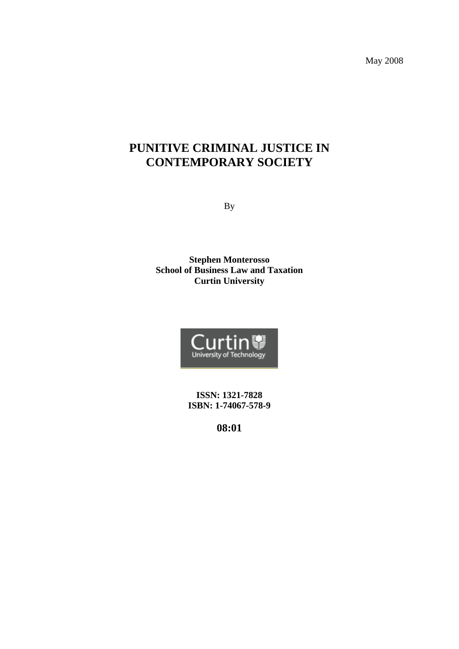May 2008

# **PUNITIVE CRIMINAL JUSTICE IN CONTEMPORARY SOCIETY**

By

**Stephen Monterosso School of Business Law and Taxation Curtin University** 



**ISSN: 1321-7828 ISBN: 1-74067-578-9** 

**08:01**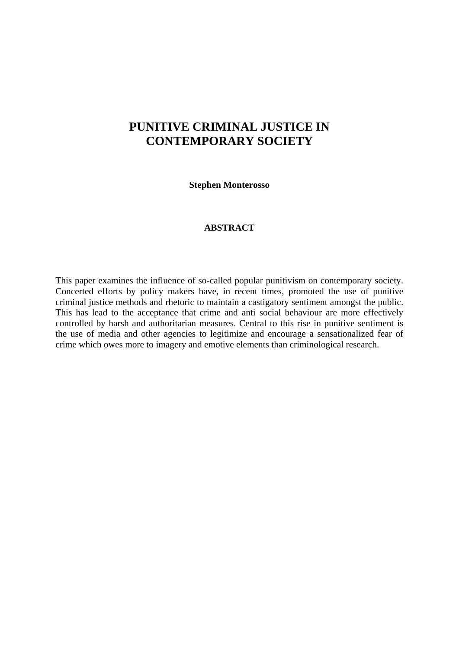# **PUNITIVE CRIMINAL JUSTICE IN CONTEMPORARY SOCIETY**

**Stephen Monterosso** 

#### **ABSTRACT**

This paper examines the influence of so-called popular punitivism on contemporary society. Concerted efforts by policy makers have, in recent times, promoted the use of punitive criminal justice methods and rhetoric to maintain a castigatory sentiment amongst the public. This has lead to the acceptance that crime and anti social behaviour are more effectively controlled by harsh and authoritarian measures. Central to this rise in punitive sentiment is the use of media and other agencies to legitimize and encourage a sensationalized fear of crime which owes more to imagery and emotive elements than criminological research.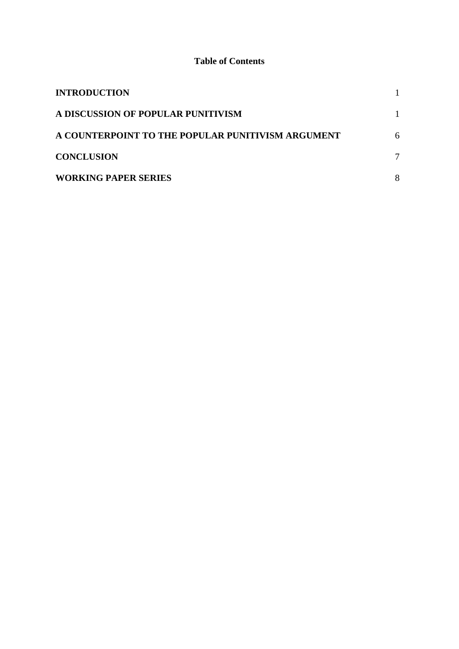### **Table of Contents**

| <b>INTRODUCTION</b>                               |   |
|---------------------------------------------------|---|
| A DISCUSSION OF POPULAR PUNITIVISM                |   |
| A COUNTERPOINT TO THE POPULAR PUNITIVISM ARGUMENT | 6 |
| <b>CONCLUSION</b>                                 |   |
| <b>WORKING PAPER SERIES</b>                       |   |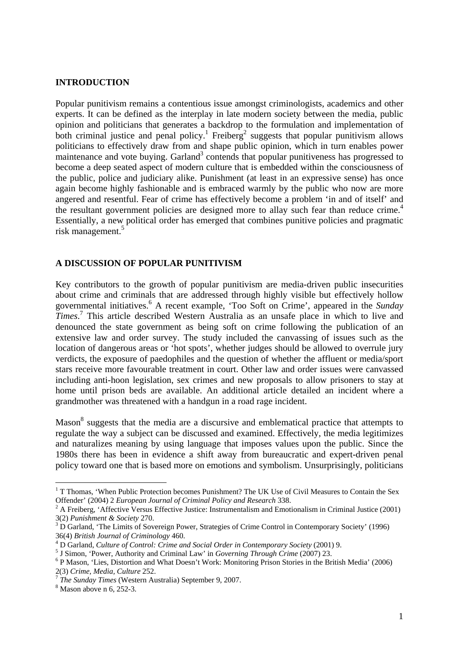#### **INTRODUCTION**

Popular punitivism remains a contentious issue amongst criminologists, academics and other experts. It can be defined as the interplay in late modern society between the media, public opinion and politicians that generates a backdrop to the formulation and implementation of both criminal justice and penal policy.<sup>1</sup> Freiberg<sup>2</sup> suggests that popular punitivism allows politicians to effectively draw from and shape public opinion, which in turn enables power maintenance and vote buying. Garland<sup>3</sup> contends that popular punitiveness has progressed to become a deep seated aspect of modern culture that is embedded within the consciousness of the public, police and judiciary alike. Punishment (at least in an expressive sense) has once again become highly fashionable and is embraced warmly by the public who now are more angered and resentful. Fear of crime has effectively become a problem 'in and of itself' and the resultant government policies are designed more to allay such fear than reduce crime.<sup>4</sup> Essentially, a new political order has emerged that combines punitive policies and pragmatic risk management.<sup>5</sup>

#### **A DISCUSSION OF POPULAR PUNITIVISM**

Key contributors to the growth of popular punitivism are media-driven public insecurities about crime and criminals that are addressed through highly visible but effectively hollow governmental initiatives.<sup>6</sup> A recent example, 'Too Soft on Crime', appeared in the *Sunday Times*. 7 This article described Western Australia as an unsafe place in which to live and denounced the state government as being soft on crime following the publication of an extensive law and order survey. The study included the canvassing of issues such as the location of dangerous areas or 'hot spots', whether judges should be allowed to overrule jury verdicts, the exposure of paedophiles and the question of whether the affluent or media/sport stars receive more favourable treatment in court. Other law and order issues were canvassed including anti-hoon legislation, sex crimes and new proposals to allow prisoners to stay at home until prison beds are available. An additional article detailed an incident where a grandmother was threatened with a handgun in a road rage incident.

Mason<sup>8</sup> suggests that the media are a discursive and emblematical practice that attempts to regulate the way a subject can be discussed and examined. Effectively, the media legitimizes and naturalizes meaning by using language that imposes values upon the public. Since the 1980s there has been in evidence a shift away from bureaucratic and expert-driven penal policy toward one that is based more on emotions and symbolism. Unsurprisingly, politicians

<sup>&</sup>lt;sup>1</sup> T Thomas, 'When Public Protection becomes Punishment? The UK Use of Civil Measures to Contain the Sex Offender' (2004) 2 *European Journal of Criminal Policy and Research* 338. 2

<sup>&</sup>lt;sup>2</sup> A Freiberg, 'Affective Versus Effective Justice: Instrumentalism and Emotionalism in Criminal Justice (2001) 3(2) *Punishment & Society* 270. 3

<sup>&</sup>lt;sup>3</sup> D Garland, 'The Limits of Sovereign Power, Strategies of Crime Control in Contemporary Society' (1996) 36(4) *British Journal of Criminology* 460. 4

<sup>&</sup>lt;sup>4</sup> D Garland, *Culture of Control: Crime and Social Order in Contemporary Society* (2001) 9.<br><sup>5</sup> L Simon, 'Power, Authority and Criminal Law' in Coverning Through Crime (2007) 23.

<sup>&</sup>lt;sup>5</sup> J Simon, 'Power, Authority and Criminal Law' in *Governing Through Crime* (2007) 23.

<sup>&</sup>lt;sup>6</sup> P Mason, 'Lies, Distortion and What Doesn't Work: Monitoring Prison Stories in the British Media' (2006) 2(3) *Crime, Media, Culture* 252. 7 *The Sunday Times* (Western Australia) September 9, 2007. 8

 $8$  Mason above n 6, 252-3.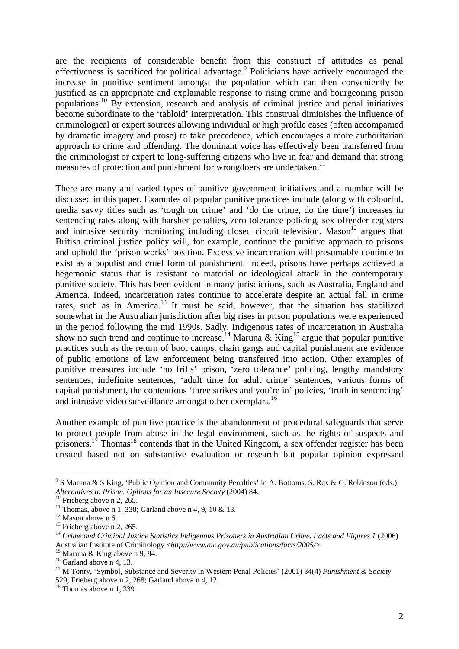are the recipients of considerable benefit from this construct of attitudes as penal effectiveness is sacrificed for political advantage.<sup>9</sup> Politicians have actively encouraged the increase in punitive sentiment amongst the population which can then conveniently be justified as an appropriate and explainable response to rising crime and bourgeoning prison populations.10 By extension, research and analysis of criminal justice and penal initiatives become subordinate to the 'tabloid' interpretation. This construal diminishes the influence of criminological or expert sources allowing individual or high profile cases (often accompanied by dramatic imagery and prose) to take precedence, which encourages a more authoritarian approach to crime and offending. The dominant voice has effectively been transferred from the criminologist or expert to long-suffering citizens who live in fear and demand that strong measures of protection and punishment for wrongdoers are undertaken.<sup>11</sup>

There are many and varied types of punitive government initiatives and a number will be discussed in this paper. Examples of popular punitive practices include (along with colourful, media savvy titles such as 'tough on crime' and 'do the crime, do the time') increases in sentencing rates along with harsher penalties, zero tolerance policing, sex offender registers and intrusive security monitoring including closed circuit television. Mason<sup>12</sup> argues that British criminal justice policy will, for example, continue the punitive approach to prisons and uphold the 'prison works' position. Excessive incarceration will presumably continue to exist as a populist and cruel form of punishment. Indeed, prisons have perhaps achieved a hegemonic status that is resistant to material or ideological attack in the contemporary punitive society. This has been evident in many jurisdictions, such as Australia, England and America. Indeed, incarceration rates continue to accelerate despite an actual fall in crime rates, such as in America.<sup>13</sup> It must be said, however, that the situation has stabilized somewhat in the Australian jurisdiction after big rises in prison populations were experienced in the period following the mid 1990s. Sadly, Indigenous rates of incarceration in Australia show no such trend and continue to increase.<sup>14</sup> Maruna & King<sup>15</sup> argue that popular punitive practices such as the return of boot camps, chain gangs and capital punishment are evidence of public emotions of law enforcement being transferred into action. Other examples of punitive measures include 'no frills' prison, 'zero tolerance' policing, lengthy mandatory sentences, indefinite sentences, 'adult time for adult crime' sentences, various forms of capital punishment, the contentious 'three strikes and you're in' policies, 'truth in sentencing' and intrusive video surveillance amongst other exemplars.<sup>16</sup>

Another example of punitive practice is the abandonment of procedural safeguards that serve to protect people from abuse in the legal environment, such as the rights of suspects and prisoners.<sup>17</sup> Thomas<sup>18</sup> contends that in the United Kingdom, a sex offender register has been created based not on substantive evaluation or research but popular opinion expressed

<sup>&</sup>lt;sup>9</sup> S Maruna & S King, 'Public Opinion and Community Penalties' in A. Bottoms, S. Rex & G. Robinson (eds.) *Alternatives to Prison. Options for an Insecure Society* (2004) 84. 10 Frieberg above n 2, 265.

<sup>&</sup>lt;sup>11</sup> Thomas, above n 1, 338; Garland above n 4, 9, 10 & 13.

 $12$  Mason above n 6.

 $13$  Frieberg above n 2, 265.

<sup>14</sup> *Crime and Criminal Justice Statistics Indigenous Prisoners in Australian Crime. Facts and Figures 1* (2006) Australian Institute of Criminology <*http://www.aic.gov.au/publications/facts/2005/*>. 15 Maruna & King above n 9, 84.

 $16$  Garland above n 4, 13.

<sup>17</sup> M Tonry, 'Symbol, Substance and Severity in Western Penal Policies' (2001) 34(4) *Punishment & Society* 529; Frieberg above n 2, 268; Garland above n 4, 12.

 $18$  Thomas above n 1, 339.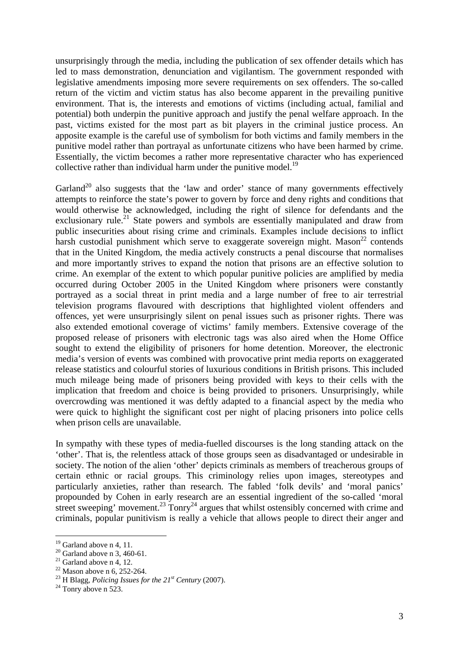unsurprisingly through the media, including the publication of sex offender details which has led to mass demonstration, denunciation and vigilantism. The government responded with legislative amendments imposing more severe requirements on sex offenders. The so-called return of the victim and victim status has also become apparent in the prevailing punitive environment. That is, the interests and emotions of victims (including actual, familial and potential) both underpin the punitive approach and justify the penal welfare approach. In the past, victims existed for the most part as bit players in the criminal justice process. An apposite example is the careful use of symbolism for both victims and family members in the punitive model rather than portrayal as unfortunate citizens who have been harmed by crime. Essentially, the victim becomes a rather more representative character who has experienced collective rather than individual harm under the punitive model.<sup>19</sup>

Garland<sup>20</sup> also suggests that the 'law and order' stance of many governments effectively attempts to reinforce the state's power to govern by force and deny rights and conditions that would otherwise be acknowledged, including the right of silence for defendants and the exclusionary rule.<sup>21</sup> State powers and symbols are essentially manipulated and draw from public insecurities about rising crime and criminals. Examples include decisions to inflict harsh custodial punishment which serve to exaggerate sovereign might. Mason<sup>22</sup> contends that in the United Kingdom, the media actively constructs a penal discourse that normalises and more importantly strives to expand the notion that prisons are an effective solution to crime. An exemplar of the extent to which popular punitive policies are amplified by media occurred during October 2005 in the United Kingdom where prisoners were constantly portrayed as a social threat in print media and a large number of free to air terrestrial television programs flavoured with descriptions that highlighted violent offenders and offences, yet were unsurprisingly silent on penal issues such as prisoner rights. There was also extended emotional coverage of victims' family members. Extensive coverage of the proposed release of prisoners with electronic tags was also aired when the Home Office sought to extend the eligibility of prisoners for home detention. Moreover, the electronic media's version of events was combined with provocative print media reports on exaggerated release statistics and colourful stories of luxurious conditions in British prisons. This included much mileage being made of prisoners being provided with keys to their cells with the implication that freedom and choice is being provided to prisoners. Unsurprisingly, while overcrowding was mentioned it was deftly adapted to a financial aspect by the media who were quick to highlight the significant cost per night of placing prisoners into police cells when prison cells are unavailable.

In sympathy with these types of media-fuelled discourses is the long standing attack on the 'other'. That is, the relentless attack of those groups seen as disadvantaged or undesirable in society. The notion of the alien 'other' depicts criminals as members of treacherous groups of certain ethnic or racial groups. This criminology relies upon images, stereotypes and particularly anxieties, rather than research. The fabled 'folk devils' and 'moral panics' propounded by Cohen in early research are an essential ingredient of the so-called 'moral street sweeping' movement.<sup>23</sup> Tonry<sup>24</sup> argues that whilst ostensibly concerned with crime and criminals, popular punitivism is really a vehicle that allows people to direct their anger and

 $19$  Garland above n 4, 11.

 $20$  Garland above n 3, 460-61.

 $21$  Garland above n 4, 12.

 $22$  Mason above n 6, 252-264.

<sup>&</sup>lt;sup>23</sup> H Blagg, *Policing Issues for the 21<sup>st</sup> Century* (2007).<br><sup>24</sup> Tonry above n 523.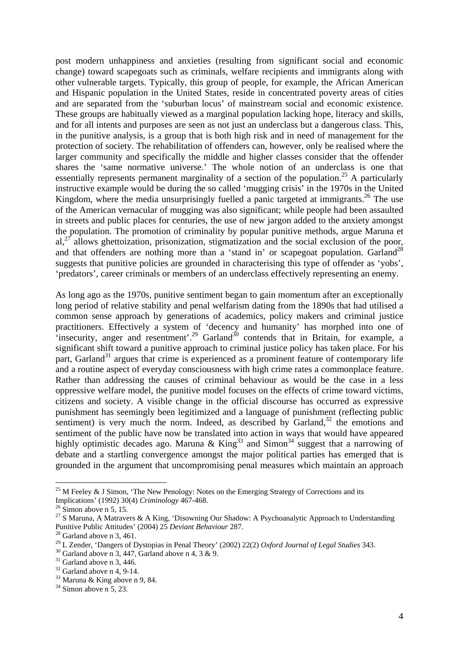post modern unhappiness and anxieties (resulting from significant social and economic change) toward scapegoats such as criminals, welfare recipients and immigrants along with other vulnerable targets. Typically, this group of people, for example, the African American and Hispanic population in the United States, reside in concentrated poverty areas of cities and are separated from the 'suburban locus' of mainstream social and economic existence. These groups are habitually viewed as a marginal population lacking hope, literacy and skills, and for all intents and purposes are seen as not just an underclass but a dangerous class. This, in the punitive analysis, is a group that is both high risk and in need of management for the protection of society. The rehabilitation of offenders can, however, only be realised where the larger community and specifically the middle and higher classes consider that the offender shares the 'same normative universe.' The whole notion of an underclass is one that essentially represents permanent marginality of a section of the population.<sup>25</sup> A particularly instructive example would be during the so called 'mugging crisis' in the 1970s in the United Kingdom, where the media unsurprisingly fuelled a panic targeted at immigrants.<sup>26</sup> The use of the American vernacular of mugging was also significant; while people had been assaulted in streets and public places for centuries, the use of new jargon added to the anxiety amongst the population. The promotion of criminality by popular punitive methods, argue Maruna et  $a^{27}$  allows ghettoization, prisonization, stigmatization and the social exclusion of the poor, and that offenders are nothing more than a 'stand in' or scapegoat population. Garland<sup>28</sup> suggests that punitive policies are grounded in characterising this type of offender as 'yobs', 'predators', career criminals or members of an underclass effectively representing an enemy.

As long ago as the 1970s, punitive sentiment began to gain momentum after an exceptionally long period of relative stability and penal welfarism dating from the 1890s that had utilised a common sense approach by generations of academics, policy makers and criminal justice practitioners. Effectively a system of 'decency and humanity' has morphed into one of  $\cdot$ insecurity, anger and resentment'.<sup>29</sup> Garland<sup>30</sup> contends that in Britain, for example, a significant shift toward a punitive approach to criminal justice policy has taken place. For his part, Garland<sup>31</sup> argues that crime is experienced as a prominent feature of contemporary life and a routine aspect of everyday consciousness with high crime rates a commonplace feature. Rather than addressing the causes of criminal behaviour as would be the case in a less oppressive welfare model, the punitive model focuses on the effects of crime toward victims, citizens and society. A visible change in the official discourse has occurred as expressive punishment has seemingly been legitimized and a language of punishment (reflecting public sentiment) is very much the norm. Indeed, as described by Garland, $32$  the emotions and sentiment of the public have now be translated into action in ways that would have appeared highly optimistic decades ago. Maruna &  $King<sup>33</sup>$  and Simon<sup>34</sup> suggest that a narrowing of debate and a startling convergence amongst the major political parties has emerged that is grounded in the argument that uncompromising penal measures which maintain an approach

 $25$  M Feeley & J Simon, 'The New Penology: Notes on the Emerging Strategy of Corrections and its Implications' (1992) 30(4) *Criminology* 467-468. 26 Simon above n 5, 15.

<sup>&</sup>lt;sup>27</sup> S Maruna, A Matravers & A King, 'Disowning Our Shadow: A Psychoanalytic Approach to Understanding Punitive Public Attitudes' (2004) 25 *Deviant Behaviour* 287. 28 Garland above n 3, 461.

<sup>&</sup>lt;sup>29</sup> L Zender, 'Dangers of Dystopias in Penal Theory' (2002) 22(2) *Oxford Journal of Legal Studies* 343.<br><sup>30</sup> Garland above n 3, 447, Garland above n 4, 3 & 9.

 $31$  Garland above n 3, 446.

<sup>32</sup> Garland above n 4, 9-14.

 $33$  Maruna & King above n 9, 84.

 $34$  Simon above n 5, 23.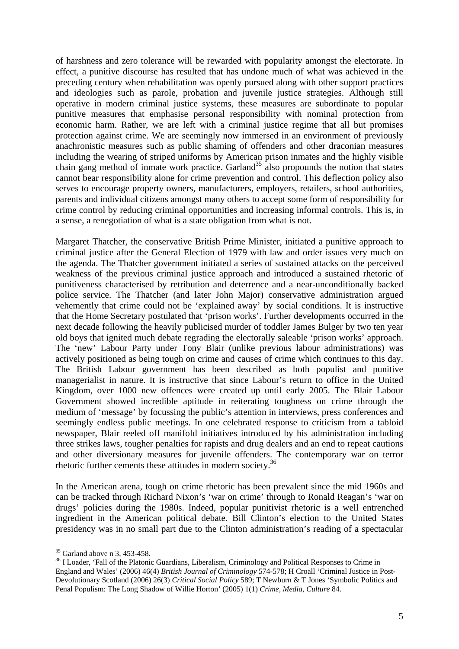of harshness and zero tolerance will be rewarded with popularity amongst the electorate. In effect, a punitive discourse has resulted that has undone much of what was achieved in the preceding century when rehabilitation was openly pursued along with other support practices and ideologies such as parole, probation and juvenile justice strategies. Although still operative in modern criminal justice systems, these measures are subordinate to popular punitive measures that emphasise personal responsibility with nominal protection from economic harm. Rather, we are left with a criminal justice regime that all but promises protection against crime. We are seemingly now immersed in an environment of previously anachronistic measures such as public shaming of offenders and other draconian measures including the wearing of striped uniforms by American prison inmates and the highly visible chain gang method of inmate work practice. Garland<sup>35</sup> also propounds the notion that states cannot bear responsibility alone for crime prevention and control. This deflection policy also serves to encourage property owners, manufacturers, employers, retailers, school authorities, parents and individual citizens amongst many others to accept some form of responsibility for crime control by reducing criminal opportunities and increasing informal controls. This is, in a sense, a renegotiation of what is a state obligation from what is not.

Margaret Thatcher, the conservative British Prime Minister, initiated a punitive approach to criminal justice after the General Election of 1979 with law and order issues very much on the agenda. The Thatcher government initiated a series of sustained attacks on the perceived weakness of the previous criminal justice approach and introduced a sustained rhetoric of punitiveness characterised by retribution and deterrence and a near-unconditionally backed police service. The Thatcher (and later John Major) conservative administration argued vehemently that crime could not be 'explained away' by social conditions. It is instructive that the Home Secretary postulated that 'prison works'. Further developments occurred in the next decade following the heavily publicised murder of toddler James Bulger by two ten year old boys that ignited much debate regrading the electorally saleable 'prison works' approach. The 'new' Labour Party under Tony Blair (unlike previous labour administrations) was actively positioned as being tough on crime and causes of crime which continues to this day. The British Labour government has been described as both populist and punitive managerialist in nature. It is instructive that since Labour's return to office in the United Kingdom, over 1000 new offences were created up until early 2005. The Blair Labour Government showed incredible aptitude in reiterating toughness on crime through the medium of 'message' by focussing the public's attention in interviews, press conferences and seemingly endless public meetings. In one celebrated response to criticism from a tabloid newspaper, Blair reeled off manifold initiatives introduced by his administration including three strikes laws, tougher penalties for rapists and drug dealers and an end to repeat cautions and other diversionary measures for juvenile offenders. The contemporary war on terror rhetoric further cements these attitudes in modern society.<sup>36</sup>

In the American arena, tough on crime rhetoric has been prevalent since the mid 1960s and can be tracked through Richard Nixon's 'war on crime' through to Ronald Reagan's 'war on drugs' policies during the 1980s. Indeed, popular punitivist rhetoric is a well entrenched ingredient in the American political debate. Bill Clinton's election to the United States presidency was in no small part due to the Clinton administration's reading of a spectacular

<u>.</u>

 $35$  Garland above n 3, 453-458.

<sup>&</sup>lt;sup>36</sup> I Loader, 'Fall of the Platonic Guardians, Liberalism, Criminology and Political Responses to Crime in England and Wales' (2006) 46(4) *British Journal of Criminology* 574-578; H Croall 'Criminal Justice in Post-Devolutionary Scotland (2006) 26(3) *Critical Social Policy* 589; T Newburn & T Jones 'Symbolic Politics and Penal Populism: The Long Shadow of Willie Horton' (2005) 1(1) *Crime, Media, Culture* 84.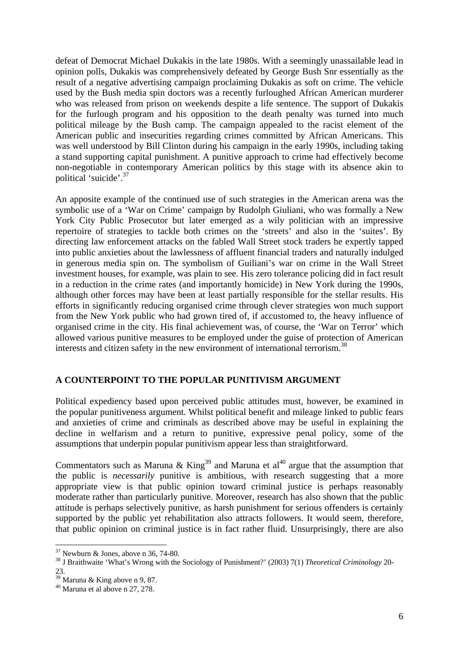defeat of Democrat Michael Dukakis in the late 1980s. With a seemingly unassailable lead in opinion polls, Dukakis was comprehensively defeated by George Bush Snr essentially as the result of a negative advertising campaign proclaiming Dukakis as soft on crime. The vehicle used by the Bush media spin doctors was a recently furloughed African American murderer who was released from prison on weekends despite a life sentence. The support of Dukakis for the furlough program and his opposition to the death penalty was turned into much political mileage by the Bush camp. The campaign appealed to the racist element of the American public and insecurities regarding crimes committed by African Americans. This was well understood by Bill Clinton during his campaign in the early 1990s, including taking a stand supporting capital punishment. A punitive approach to crime had effectively become non-negotiable in contemporary American politics by this stage with its absence akin to political 'suicide'.37

An apposite example of the continued use of such strategies in the American arena was the symbolic use of a 'War on Crime' campaign by Rudolph Giuliani, who was formally a New York City Public Prosecutor but later emerged as a wily politician with an impressive repertoire of strategies to tackle both crimes on the 'streets' and also in the 'suites'. By directing law enforcement attacks on the fabled Wall Street stock traders he expertly tapped into public anxieties about the lawlessness of affluent financial traders and naturally indulged in generous media spin on. The symbolism of Guiliani's war on crime in the Wall Street investment houses, for example, was plain to see. His zero tolerance policing did in fact result in a reduction in the crime rates (and importantly homicide) in New York during the 1990s, although other forces may have been at least partially responsible for the stellar results. His efforts in significantly reducing organised crime through clever strategies won much support from the New York public who had grown tired of, if accustomed to, the heavy influence of organised crime in the city. His final achievement was, of course, the 'War on Terror' which allowed various punitive measures to be employed under the guise of protection of American interests and citizen safety in the new environment of international terrorism.<sup>38</sup>

#### **A COUNTERPOINT TO THE POPULAR PUNITIVISM ARGUMENT**

Political expediency based upon perceived public attitudes must, however, be examined in the popular punitiveness argument. Whilst political benefit and mileage linked to public fears and anxieties of crime and criminals as described above may be useful in explaining the decline in welfarism and a return to punitive, expressive penal policy, some of the assumptions that underpin popular punitivism appear less than straightforward.

Commentators such as Maruna & King<sup>39</sup> and Maruna et al<sup>40</sup> argue that the assumption that the public is *necessarily* punitive is ambitious, with research suggesting that a more appropriate view is that public opinion toward criminal justice is perhaps reasonably moderate rather than particularly punitive. Moreover, research has also shown that the public attitude is perhaps selectively punitive, as harsh punishment for serious offenders is certainly supported by the public yet rehabilitation also attracts followers. It would seem, therefore, that public opinion on criminal justice is in fact rather fluid. Unsurprisingly, there are also

<u>.</u>

 $37$  Newburn & Jones, above n 36, 74-80.

<sup>38</sup> J Braithwaite 'What's Wrong with the Sociology of Punishment?' (2003) 7(1) *Theoretical Criminology* 20- 23.

 $\frac{25}{39}$  Maruna & King above n 9, 87.

<sup>40</sup> Maruna et al above n 27, 278.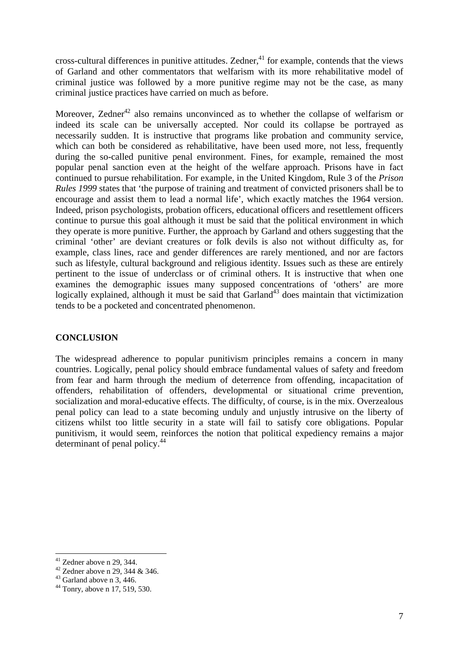cross-cultural differences in punitive attitudes. Zedner,  $41$  for example, contends that the views of Garland and other commentators that welfarism with its more rehabilitative model of criminal justice was followed by a more punitive regime may not be the case, as many criminal justice practices have carried on much as before.

Moreover, Zedner<sup> $42$ </sup> also remains unconvinced as to whether the collapse of welfarism or indeed its scale can be universally accepted. Nor could its collapse be portrayed as necessarily sudden. It is instructive that programs like probation and community service, which can both be considered as rehabilitative, have been used more, not less, frequently during the so-called punitive penal environment. Fines, for example, remained the most popular penal sanction even at the height of the welfare approach. Prisons have in fact continued to pursue rehabilitation. For example, in the United Kingdom, Rule 3 of the *Prison Rules 1999* states that 'the purpose of training and treatment of convicted prisoners shall be to encourage and assist them to lead a normal life', which exactly matches the 1964 version. Indeed, prison psychologists, probation officers, educational officers and resettlement officers continue to pursue this goal although it must be said that the political environment in which they operate is more punitive. Further, the approach by Garland and others suggesting that the criminal 'other' are deviant creatures or folk devils is also not without difficulty as, for example, class lines, race and gender differences are rarely mentioned, and nor are factors such as lifestyle, cultural background and religious identity. Issues such as these are entirely pertinent to the issue of underclass or of criminal others. It is instructive that when one examines the demographic issues many supposed concentrations of 'others' are more logically explained, although it must be said that  $Garland<sup>43</sup>$  does maintain that victimization tends to be a pocketed and concentrated phenomenon.

#### **CONCLUSION**

The widespread adherence to popular punitivism principles remains a concern in many countries. Logically, penal policy should embrace fundamental values of safety and freedom from fear and harm through the medium of deterrence from offending, incapacitation of offenders, rehabilitation of offenders, developmental or situational crime prevention, socialization and moral-educative effects. The difficulty, of course, is in the mix. Overzealous penal policy can lead to a state becoming unduly and unjustly intrusive on the liberty of citizens whilst too little security in a state will fail to satisfy core obligations. Popular punitivism, it would seem, reinforces the notion that political expediency remains a major determinant of penal policy.<sup>44</sup>

 $41$  Zedner above n 29, 344.

 $42$  Zedner above n 29, 344 & 346.

 $43$  Garland above n 3, 446.

<sup>44</sup> Tonry, above n 17, 519, 530.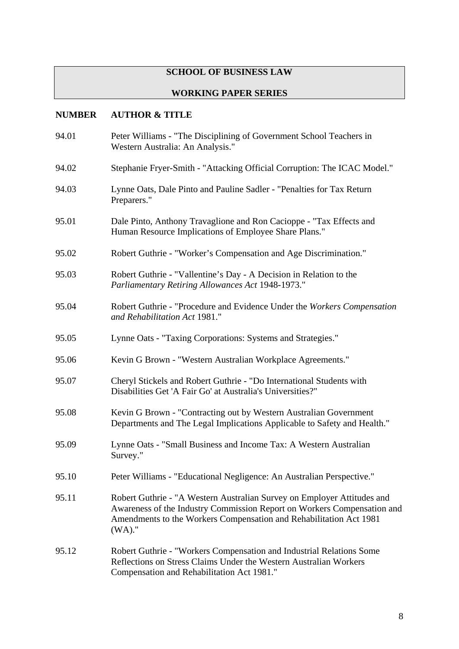# **SCHOOL OF BUSINESS LAW**

### **WORKING PAPER SERIES**

## **NUMBER AUTHOR & TITLE**

| 94.01 | Peter Williams - "The Disciplining of Government School Teachers in<br>Western Australia: An Analysis."                                                                                                                               |
|-------|---------------------------------------------------------------------------------------------------------------------------------------------------------------------------------------------------------------------------------------|
| 94.02 | Stephanie Fryer-Smith - "Attacking Official Corruption: The ICAC Model."                                                                                                                                                              |
| 94.03 | Lynne Oats, Dale Pinto and Pauline Sadler - "Penalties for Tax Return<br>Preparers."                                                                                                                                                  |
| 95.01 | Dale Pinto, Anthony Travaglione and Ron Cacioppe - "Tax Effects and<br>Human Resource Implications of Employee Share Plans."                                                                                                          |
| 95.02 | Robert Guthrie - "Worker's Compensation and Age Discrimination."                                                                                                                                                                      |
| 95.03 | Robert Guthrie - "Vallentine's Day - A Decision in Relation to the<br>Parliamentary Retiring Allowances Act 1948-1973."                                                                                                               |
| 95.04 | Robert Guthrie - "Procedure and Evidence Under the Workers Compensation<br>and Rehabilitation Act 1981."                                                                                                                              |
| 95.05 | Lynne Oats - "Taxing Corporations: Systems and Strategies."                                                                                                                                                                           |
| 95.06 | Kevin G Brown - "Western Australian Workplace Agreements."                                                                                                                                                                            |
| 95.07 | Cheryl Stickels and Robert Guthrie - "Do International Students with<br>Disabilities Get 'A Fair Go' at Australia's Universities?"                                                                                                    |
| 95.08 | Kevin G Brown - "Contracting out by Western Australian Government<br>Departments and The Legal Implications Applicable to Safety and Health."                                                                                         |
| 95.09 | Lynne Oats - "Small Business and Income Tax: A Western Australian<br>Survey."                                                                                                                                                         |
| 95.10 | Peter Williams - "Educational Negligence: An Australian Perspective."                                                                                                                                                                 |
| 95.11 | Robert Guthrie - "A Western Australian Survey on Employer Attitudes and<br>Awareness of the Industry Commission Report on Workers Compensation and<br>Amendments to the Workers Compensation and Rehabilitation Act 1981<br>$(WA).$ " |
| 95.12 | Robert Guthrie - "Workers Compensation and Industrial Relations Some<br>Reflections on Stress Claims Under the Western Australian Workers<br>Compensation and Rehabilitation Act 1981."                                               |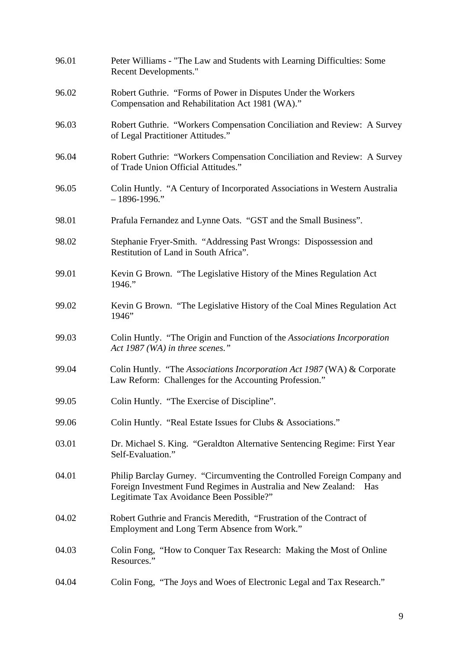| 96.01 | Peter Williams - "The Law and Students with Learning Difficulties: Some<br>Recent Developments."                                                                                          |
|-------|-------------------------------------------------------------------------------------------------------------------------------------------------------------------------------------------|
| 96.02 | Robert Guthrie. "Forms of Power in Disputes Under the Workers<br>Compensation and Rehabilitation Act 1981 (WA)."                                                                          |
| 96.03 | Robert Guthrie. "Workers Compensation Conciliation and Review: A Survey<br>of Legal Practitioner Attitudes."                                                                              |
| 96.04 | Robert Guthrie: "Workers Compensation Conciliation and Review: A Survey<br>of Trade Union Official Attitudes."                                                                            |
| 96.05 | Colin Huntly. "A Century of Incorporated Associations in Western Australia<br>$-1896-1996."$                                                                                              |
| 98.01 | Prafula Fernandez and Lynne Oats. "GST and the Small Business".                                                                                                                           |
| 98.02 | Stephanie Fryer-Smith. "Addressing Past Wrongs: Dispossession and<br>Restitution of Land in South Africa".                                                                                |
| 99.01 | Kevin G Brown. "The Legislative History of the Mines Regulation Act<br>1946."                                                                                                             |
| 99.02 | Kevin G Brown. "The Legislative History of the Coal Mines Regulation Act<br>1946"                                                                                                         |
| 99.03 | Colin Huntly. "The Origin and Function of the Associations Incorporation<br>Act 1987 (WA) in three scenes."                                                                               |
| 99.04 | Colin Huntly. "The Associations Incorporation Act 1987 (WA) & Corporate<br>Law Reform: Challenges for the Accounting Profession."                                                         |
| 99.05 | Colin Huntly. "The Exercise of Discipline".                                                                                                                                               |
| 99.06 | Colin Huntly. "Real Estate Issues for Clubs & Associations."                                                                                                                              |
| 03.01 | Dr. Michael S. King. "Geraldton Alternative Sentencing Regime: First Year<br>Self-Evaluation."                                                                                            |
| 04.01 | Philip Barclay Gurney. "Circumventing the Controlled Foreign Company and<br>Foreign Investment Fund Regimes in Australia and New Zealand: Has<br>Legitimate Tax Avoidance Been Possible?" |
| 04.02 | Robert Guthrie and Francis Meredith, "Frustration of the Contract of<br>Employment and Long Term Absence from Work."                                                                      |
| 04.03 | Colin Fong, "How to Conquer Tax Research: Making the Most of Online<br>Resources."                                                                                                        |
| 04.04 | Colin Fong, "The Joys and Woes of Electronic Legal and Tax Research."                                                                                                                     |